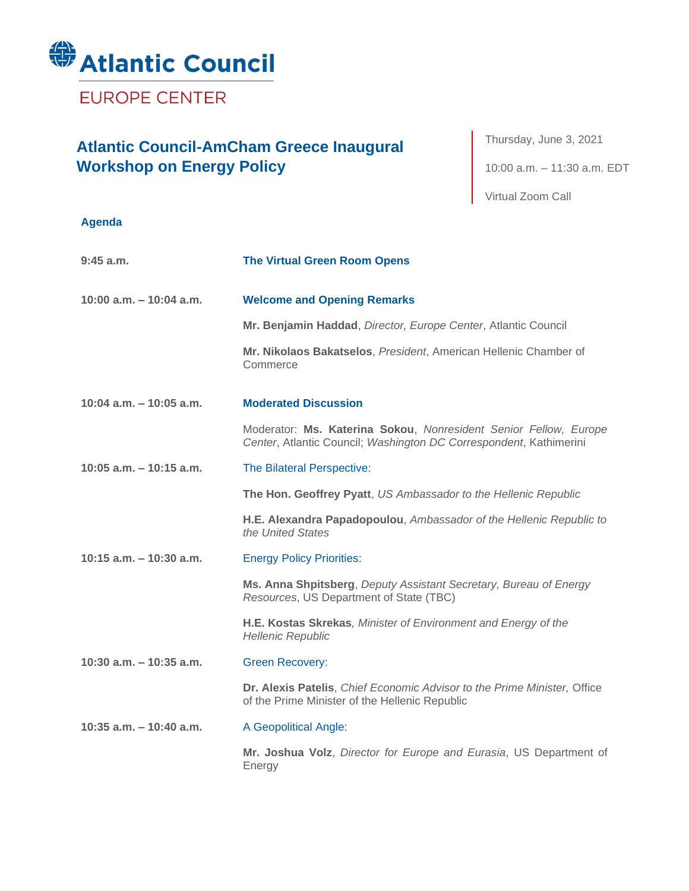

**EUROPE CENTER** 

## **Atlantic Council-AmCham Greece Inaugural Workshop on Energy Policy**

Thursday, June 3, 2021 10:00 a.m. – 11:30 a.m. EDT Virtual Zoom Call

## **Agenda**

| $9:45$ a.m.                | <b>The Virtual Green Room Opens</b>                                                                                                    |
|----------------------------|----------------------------------------------------------------------------------------------------------------------------------------|
| $10:00$ a.m. $-10:04$ a.m. | <b>Welcome and Opening Remarks</b>                                                                                                     |
|                            | Mr. Benjamin Haddad, Director, Europe Center, Atlantic Council                                                                         |
|                            | Mr. Nikolaos Bakatselos, President, American Hellenic Chamber of<br>Commerce                                                           |
| 10:04 $a.m. - 10:05 a.m.$  | <b>Moderated Discussion</b>                                                                                                            |
|                            | Moderator: Ms. Katerina Sokou, Nonresident Senior Fellow, Europe<br>Center, Atlantic Council; Washington DC Correspondent, Kathimerini |
| 10:05 a.m. $-$ 10:15 a.m.  | The Bilateral Perspective:                                                                                                             |
|                            | The Hon. Geoffrey Pyatt, US Ambassador to the Hellenic Republic                                                                        |
|                            | H.E. Alexandra Papadopoulou, Ambassador of the Hellenic Republic to<br>the United States                                               |
| $10:15$ a.m. $-10:30$ a.m. | <b>Energy Policy Priorities:</b>                                                                                                       |
|                            | Ms. Anna Shpitsberg, Deputy Assistant Secretary, Bureau of Energy<br>Resources, US Department of State (TBC)                           |
|                            | H.E. Kostas Skrekas, Minister of Environment and Energy of the<br><b>Hellenic Republic</b>                                             |
| 10:30 a.m. $-$ 10:35 a.m.  | <b>Green Recovery:</b>                                                                                                                 |
|                            | Dr. Alexis Patelis, Chief Economic Advisor to the Prime Minister, Office<br>of the Prime Minister of the Hellenic Republic             |
| $10:35$ a.m. $-10:40$ a.m. | A Geopolitical Angle:                                                                                                                  |
|                            | Mr. Joshua Volz, Director for Europe and Eurasia, US Department of<br>Energy                                                           |